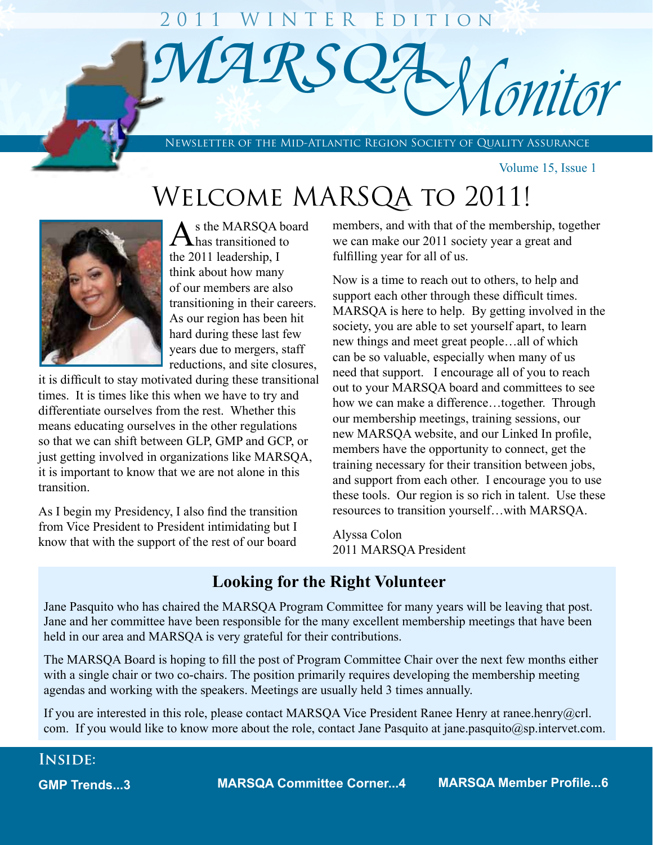# $\widehat{MARS}$ **Wonitor** 2011 WINTER EDITION

Newsletter of the Mid-Atlantic Region Society of Quality Assurance

Volume 15, Issue 1

## Welcome MARSQA to 2011!



Ī

As the MARSQA board<br>has transitioned to the 2011 leadership, I think about how many of our members are also transitioning in their careers. As our region has been hit hard during these last few years due to mergers, staff reductions, and site closures,

it is difficult to stay motivated during these transitional times. It is times like this when we have to try and differentiate ourselves from the rest. Whether this means educating ourselves in the other regulations so that we can shift between GLP, GMP and GCP, or just getting involved in organizations like MARSQA, it is important to know that we are not alone in this transition.

As I begin my Presidency, I also find the transition from Vice President to President intimidating but I know that with the support of the rest of our board

members, and with that of the membership, together we can make our 2011 society year a great and fulfilling year for all of us.

Now is a time to reach out to others, to help and support each other through these difficult times. MARSQA is here to help. By getting involved in the society, you are able to set yourself apart, to learn new things and meet great people…all of which can be so valuable, especially when many of us need that support. I encourage all of you to reach out to your MARSQA board and committees to see how we can make a difference…together. Through our membership meetings, training sessions, our new MARSQA website, and our Linked In profile, members have the opportunity to connect, get the training necessary for their transition between jobs, and support from each other. I encourage you to use these tools. Our region is so rich in talent. Use these resources to transition yourself…with MARSQA.

Alyssa Colon 2011 MARSQA President

## **Looking for the Right Volunteer**

Jane Pasquito who has chaired the MARSQA Program Committee for many years will be leaving that post. Jane and her committee have been responsible for the many excellent membership meetings that have been held in our area and MARSQA is very grateful for their contributions.

The MARSQA Board is hoping to fill the post of Program Committee Chair over the next few months either with a single chair or two co-chairs. The position primarily requires developing the membership meeting agendas and working with the speakers. Meetings are usually held 3 times annually.

If you are interested in this role, please contact MARSQA Vice President Ranee Henry at ranee.henry@crl. com. If you would like to know more about the role, contact Jane Pasquito at jane.pasquito@sp.intervet.com.

## **Inside:**

**GMP Trends...3**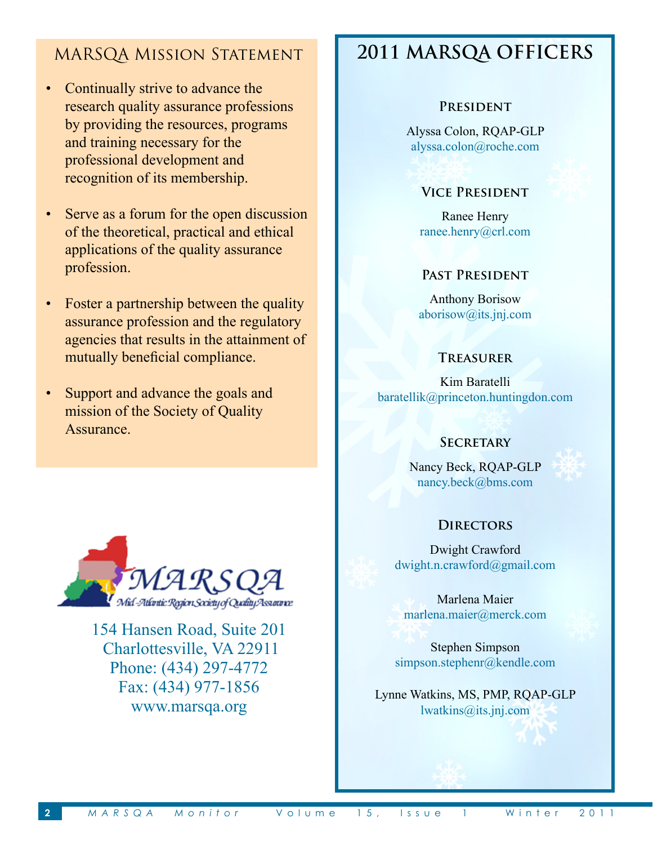## MARSQA Mission Statement

- Continually strive to advance the research quality assurance professions by providing the resources, programs and training necessary for the professional development and recognition of its membership.
- Serve as a forum for the open discussion of the theoretical, practical and ethical applications of the quality assurance profession.
- Foster a partnership between the quality assurance profession and the regulatory agencies that results in the attainment of mutually beneficial compliance.
- Support and advance the goals and mission of the Society of Quality Assurance.



154 Hansen Road, Suite 201 Charlottesville, VA 22911 Phone: (434) 297-4772 Fax: (434) 977-1856 www.marsqa.org

## **2011 MARSQA OFFICERS**

#### **President**

Alyssa Colon, RQAP-GLP alyssa.colon@roche.com

#### **Vice President**

Ranee Henry ranee.henry@crl.com

#### **Past President**

Anthony Borisow aborisow@its.jnj.com

#### **Treasurer**

Kim Baratelli baratellik@princeton.huntingdon.com

#### **SECRETARY**

Nancy Beck, RQAP-GLP nancy.beck@bms.com



## **Directors**

Dwight Crawford dwight.n.crawford@gmail.com

Marlena Maier marlena.maier@merck.com

Stephen Simpson simpson.stephenr@kendle.com

Lynne Watkins, MS, PMP, RQAP-GLP lwatkins@its.jnj.com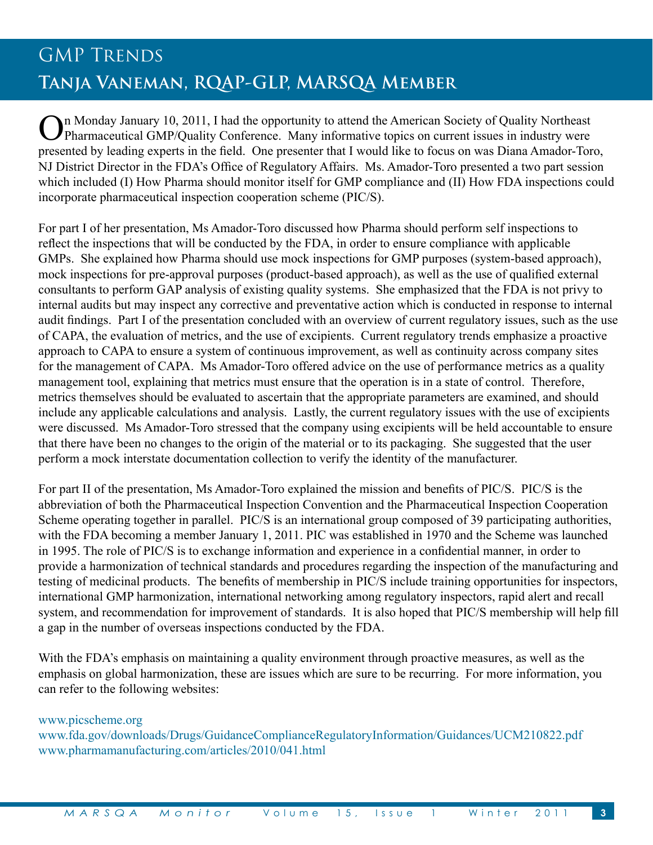## GMP TRENDS **Tanja Vaneman, RQAP-GLP, MARSQA Member**

On Monday January 10, 2011, I had the opportunity to attend the American Society of Quality Northeast<br>Pharmaceutical GMP/Quality Conference. Many informative topics on current issues in industry were presented by leading experts in the field. One presenter that I would like to focus on was Diana Amador-Toro, NJ District Director in the FDA's Office of Regulatory Affairs. Ms. Amador-Toro presented a two part session which included (I) How Pharma should monitor itself for GMP compliance and (II) How FDA inspections could incorporate pharmaceutical inspection cooperation scheme (PIC/S).

For part I of her presentation, Ms Amador-Toro discussed how Pharma should perform self inspections to reflect the inspections that will be conducted by the FDA, in order to ensure compliance with applicable GMPs. She explained how Pharma should use mock inspections for GMP purposes (system-based approach), mock inspections for pre-approval purposes (product-based approach), as well as the use of qualified external consultants to perform GAP analysis of existing quality systems. She emphasized that the FDA is not privy to internal audits but may inspect any corrective and preventative action which is conducted in response to internal audit findings. Part I of the presentation concluded with an overview of current regulatory issues, such as the use of CAPA, the evaluation of metrics, and the use of excipients. Current regulatory trends emphasize a proactive approach to CAPA to ensure a system of continuous improvement, as well as continuity across company sites for the management of CAPA. Ms Amador-Toro offered advice on the use of performance metrics as a quality management tool, explaining that metrics must ensure that the operation is in a state of control. Therefore, metrics themselves should be evaluated to ascertain that the appropriate parameters are examined, and should include any applicable calculations and analysis. Lastly, the current regulatory issues with the use of excipients were discussed. Ms Amador-Toro stressed that the company using excipients will be held accountable to ensure that there have been no changes to the origin of the material or to its packaging. She suggested that the user perform a mock interstate documentation collection to verify the identity of the manufacturer.

For part II of the presentation, Ms Amador-Toro explained the mission and benefits of PIC/S. PIC/S is the abbreviation of both the Pharmaceutical Inspection Convention and the Pharmaceutical Inspection Cooperation Scheme operating together in parallel. PIC/S is an international group composed of 39 participating authorities, with the FDA becoming a member January 1, 2011. PIC was established in 1970 and the Scheme was launched in 1995. The role of PIC/S is to exchange information and experience in a confidential manner, in order to provide a harmonization of technical standards and procedures regarding the inspection of the manufacturing and testing of medicinal products. The benefits of membership in PIC/S include training opportunities for inspectors, international GMP harmonization, international networking among regulatory inspectors, rapid alert and recall system, and recommendation for improvement of standards. It is also hoped that PIC/S membership will help fill a gap in the number of overseas inspections conducted by the FDA.

With the FDA's emphasis on maintaining a quality environment through proactive measures, as well as the emphasis on global harmonization, these are issues which are sure to be recurring. For more information, you can refer to the following websites:

#### www.picscheme.org

www.fda.gov/downloads/Drugs/GuidanceComplianceRegulatoryInformation/Guidances/UCM210822.pdf www.pharmamanufacturing.com/articles/2010/041.html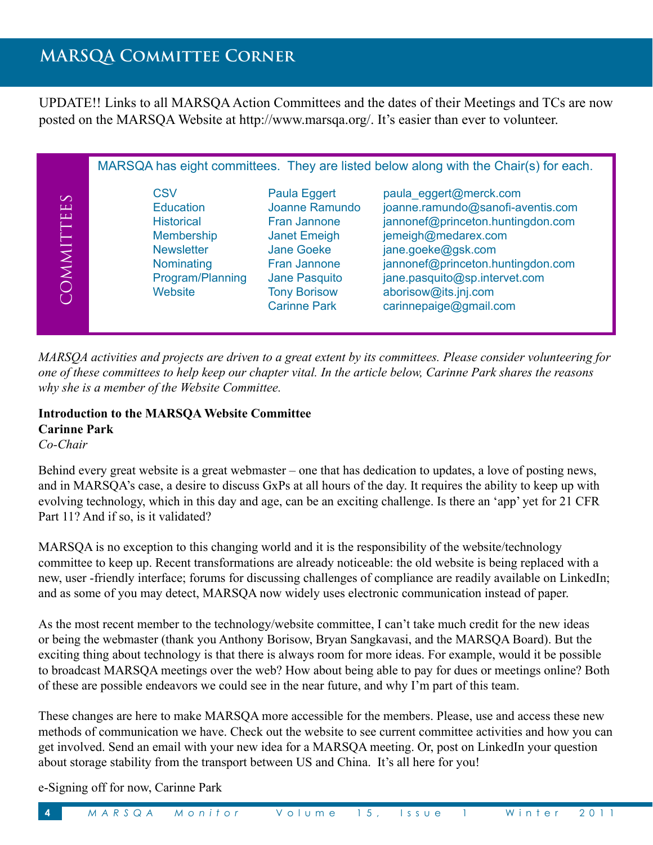## **MARSQA Committee Corner**

UPDATE!! Links to all MARSQA Action Committees and the dates of their Meetings and TCs are now posted on the MARSQA Website at http://www.marsqa.org/. It's easier than ever to volunteer.

|                               |                                                                                                                              |                                                                                                                                                                                         | MARSQA has eight committees. They are listed below along with the Chair(s) for each.                                                                                                                                                                                  |
|-------------------------------|------------------------------------------------------------------------------------------------------------------------------|-----------------------------------------------------------------------------------------------------------------------------------------------------------------------------------------|-----------------------------------------------------------------------------------------------------------------------------------------------------------------------------------------------------------------------------------------------------------------------|
| $\infty$<br>$\Box$<br>OMMITTE | CSV<br><b>Education</b><br><b>Historical</b><br>Membership<br><b>Newsletter</b><br>Nominating<br>Program/Planning<br>Website | Paula Eggert<br>Joanne Ramundo<br><b>Fran Jannone</b><br><b>Janet Emeigh</b><br><b>Jane Goeke</b><br><b>Fran Jannone</b><br>Jane Pasquito<br><b>Tony Borisow</b><br><b>Carinne Park</b> | paula_eggert@merck.com<br>joanne.ramundo@sanofi-aventis.com<br>jannonef@princeton.huntingdon.com<br>jemeigh@medarex.com<br>jane.goeke@gsk.com<br>jannonef@princeton.huntingdon.com<br>jane.pasquito@sp.intervet.com<br>aborisow@its.jnj.com<br>carinnepaige@gmail.com |

*MARSQA activities and projects are driven to a great extent by its committees. Please consider volunteering for one of these committees to help keep our chapter vital. In the article below, Carinne Park shares the reasons why she is a member of the Website Committee.*

## **Introduction to the MARSQA Website Committee Carinne Park**

*Co-Chair* 

Behind every great website is a great webmaster – one that has dedication to updates, a love of posting news, and in MARSQA's case, a desire to discuss GxPs at all hours of the day. It requires the ability to keep up with evolving technology, which in this day and age, can be an exciting challenge. Is there an 'app' yet for 21 CFR Part 11? And if so, is it validated?

MARSQA is no exception to this changing world and it is the responsibility of the website/technology committee to keep up. Recent transformations are already noticeable: the old website is being replaced with a new, user -friendly interface; forums for discussing challenges of compliance are readily available on LinkedIn; and as some of you may detect, MARSQA now widely uses electronic communication instead of paper.

As the most recent member to the technology/website committee, I can't take much credit for the new ideas or being the webmaster (thank you Anthony Borisow, Bryan Sangkavasi, and the MARSQA Board). But the exciting thing about technology is that there is always room for more ideas. For example, would it be possible to broadcast MARSQA meetings over the web? How about being able to pay for dues or meetings online? Both of these are possible endeavors we could see in the near future, and why I'm part of this team.

These changes are here to make MARSQA more accessible for the members. Please, use and access these new methods of communication we have. Check out the website to see current committee activities and how you can get involved. Send an email with your new idea for a MARSQA meeting. Or, post on LinkedIn your question about storage stability from the transport between US and China. It's all here for you!

e-Signing off for now, Carinne Park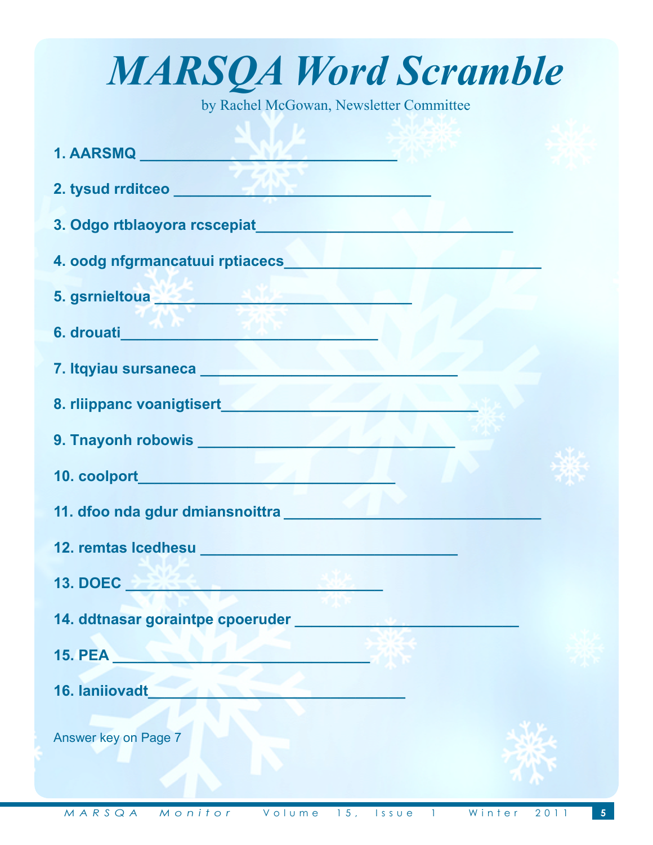| <b>MARSQA Word Scramble</b>                                                                                                                                                                                                          |
|--------------------------------------------------------------------------------------------------------------------------------------------------------------------------------------------------------------------------------------|
| by Rachel McGowan, Newsletter Committee                                                                                                                                                                                              |
| 1. AARSMQ ARE AND A REPORT OF THE PARTIES OF THE PARTIES OF THE PARTIES OF THE PARTIES OF THE PARTIES OF THE P                                                                                                                       |
| 2. tysud rrditceo <b>with the contract of the contract of the contract of the contract of the contract of the contract of the contract of the contract of the contract of the contract of the contract of the contract of the co</b> |
|                                                                                                                                                                                                                                      |
| 4. oodg nfgrmancatuui rptiacecs <b>with a control of the control of the control of the control of the control of the control of the control of the control of the control of the control of the control of the control of the co</b> |
| 5. gsrnieltoua <sup>. 20</sup> 20 - 2020 - 2020 - 2020 - 2020 - 2020 - 2020 - 2020 - 2020 - 2020 - 2020 - 2020 - 2020 - 20                                                                                                           |
|                                                                                                                                                                                                                                      |
|                                                                                                                                                                                                                                      |
|                                                                                                                                                                                                                                      |
|                                                                                                                                                                                                                                      |
|                                                                                                                                                                                                                                      |
| 11. dfoo nda gdur dmiansnoittra ____                                                                                                                                                                                                 |
| 12. remtas Icedhesu <b>Maria Antiquista e Senato Indiana</b>                                                                                                                                                                         |
| 13. DOEC <b>December 2008</b>                                                                                                                                                                                                        |
| 14. ddtnasar goraintpe cpoeruder <b>San American Strategier and Strategier American Strategier American Strategier</b>                                                                                                               |
| <b>15. PEA 2008 12:00 12:00 12:00 12:00 12:00 12:00 12:00 12:00 12:00 12:00 12:00 12:00 12:00 12:00 12:00 12:00 12:00 12:00 12:00 12:00 12:00 12:00 12:00 12:00 12:00 12:00 12:00 12:00 12:00 12:00 12:00 12:00 12:00 12:00 12:0</b> |
| 16. Ianiiovadt                                                                                                                                                                                                                       |
| Answer key on Page 7                                                                                                                                                                                                                 |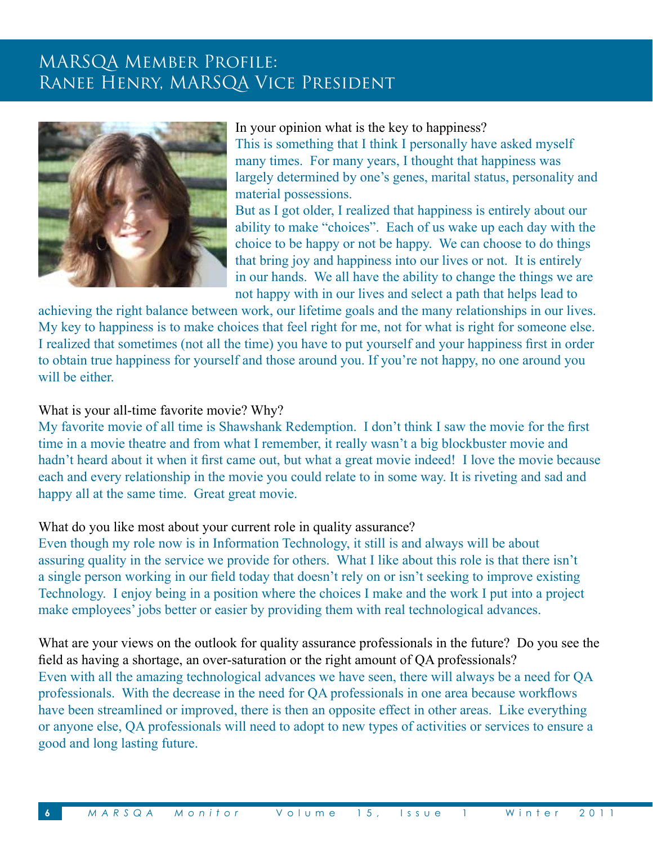## MARSQA Member Profile: Ranee Henry, MARSQA Vice President



In your opinion what is the key to happiness?

This is something that I think I personally have asked myself many times. For many years, I thought that happiness was largely determined by one's genes, marital status, personality and material possessions.

But as I got older, I realized that happiness is entirely about our ability to make "choices". Each of us wake up each day with the choice to be happy or not be happy. We can choose to do things that bring joy and happiness into our lives or not. It is entirely in our hands. We all have the ability to change the things we are not happy with in our lives and select a path that helps lead to

achieving the right balance between work, our lifetime goals and the many relationships in our lives. My key to happiness is to make choices that feel right for me, not for what is right for someone else. I realized that sometimes (not all the time) you have to put yourself and your happiness first in order to obtain true happiness for yourself and those around you. If you're not happy, no one around you will be either.

## What is your all-time favorite movie? Why?

My favorite movie of all time is Shawshank Redemption. I don't think I saw the movie for the first time in a movie theatre and from what I remember, it really wasn't a big blockbuster movie and hadn't heard about it when it first came out, but what a great movie indeed! I love the movie because each and every relationship in the movie you could relate to in some way. It is riveting and sad and happy all at the same time. Great great movie.

## What do you like most about your current role in quality assurance?

Even though my role now is in Information Technology, it still is and always will be about assuring quality in the service we provide for others. What I like about this role is that there isn't a single person working in our field today that doesn't rely on or isn't seeking to improve existing Technology. I enjoy being in a position where the choices I make and the work I put into a project make employees' jobs better or easier by providing them with real technological advances.

What are your views on the outlook for quality assurance professionals in the future? Do you see the field as having a shortage, an over-saturation or the right amount of QA professionals? Even with all the amazing technological advances we have seen, there will always be a need for QA professionals. With the decrease in the need for QA professionals in one area because workflows have been streamlined or improved, there is then an opposite effect in other areas. Like everything or anyone else, QA professionals will need to adopt to new types of activities or services to ensure a good and long lasting future.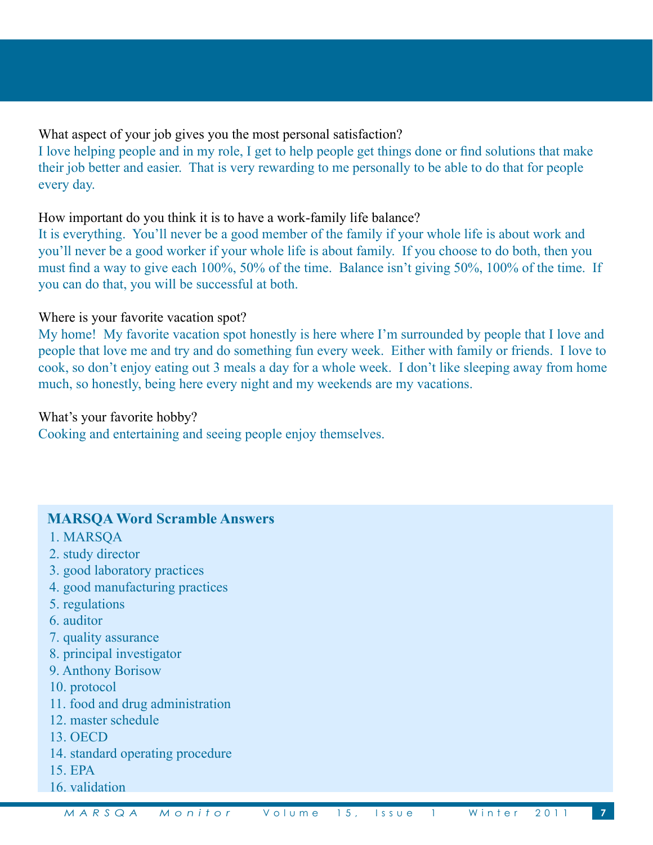What aspect of your job gives you the most personal satisfaction?

I love helping people and in my role, I get to help people get things done or find solutions that make their job better and easier. That is very rewarding to me personally to be able to do that for people every day.

## How important do you think it is to have a work-family life balance?

It is everything. You'll never be a good member of the family if your whole life is about work and you'll never be a good worker if your whole life is about family. If you choose to do both, then you must find a way to give each 100%, 50% of the time. Balance isn't giving 50%, 100% of the time. If you can do that, you will be successful at both.

## Where is your favorite vacation spot?

My home! My favorite vacation spot honestly is here where I'm surrounded by people that I love and people that love me and try and do something fun every week. Either with family or friends. I love to cook, so don't enjoy eating out 3 meals a day for a whole week. I don't like sleeping away from home much, so honestly, being here every night and my weekends are my vacations.

#### What's your favorite hobby?

Cooking and entertaining and seeing people enjoy themselves.

## **MARSQA Word Scramble Answers**

- 1. MARSQA
- 2. study director
- 3. good laboratory practices
- 4. good manufacturing practices
- 5. regulations
- 6. auditor
- 7. quality assurance
- 8. principal investigator
- 9. Anthony Borisow
- 10. protocol
- 11. food and drug administration
- 12. master schedule
- 13. OECD
- 14. standard operating procedure
- 15. EPA
- 16. validation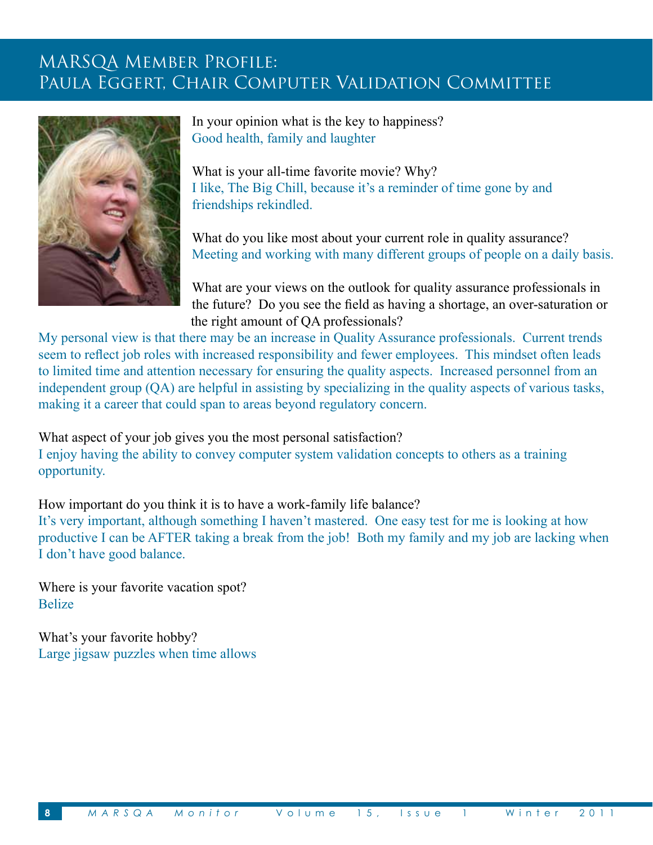## MARSQA Member Profile: Paula Eggert, Chair Computer Validation Committee



In your opinion what is the key to happiness? Good health, family and laughter

What is your all-time favorite movie? Why? I like, The Big Chill, because it's a reminder of time gone by and friendships rekindled.

What do you like most about your current role in quality assurance? Meeting and working with many different groups of people on a daily basis.

What are your views on the outlook for quality assurance professionals in the future? Do you see the field as having a shortage, an over-saturation or the right amount of QA professionals?

My personal view is that there may be an increase in Quality Assurance professionals. Current trends seem to reflect job roles with increased responsibility and fewer employees. This mindset often leads to limited time and attention necessary for ensuring the quality aspects. Increased personnel from an independent group (QA) are helpful in assisting by specializing in the quality aspects of various tasks, making it a career that could span to areas beyond regulatory concern.

What aspect of your job gives you the most personal satisfaction?

I enjoy having the ability to convey computer system validation concepts to others as a training opportunity.

How important do you think it is to have a work-family life balance?

It's very important, although something I haven't mastered. One easy test for me is looking at how productive I can be AFTER taking a break from the job! Both my family and my job are lacking when I don't have good balance.

Where is your favorite vacation spot? Belize

What's your favorite hobby? Large jigsaw puzzles when time allows